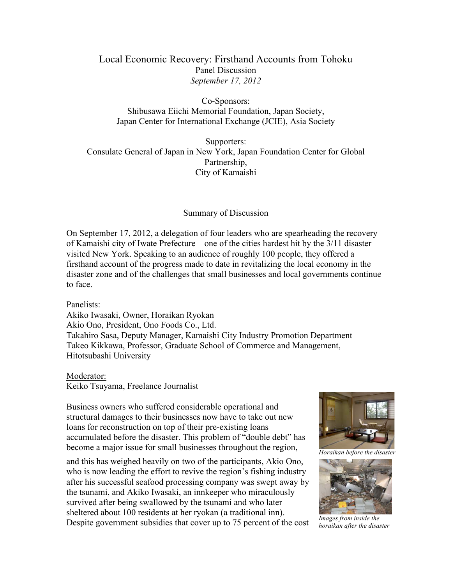## Local Economic Recovery: Firsthand Accounts from Tohoku Panel Discussion *September 17, 2012*

Co-Sponsors: Shibusawa Eiichi Memorial Foundation, Japan Society, Japan Center for International Exchange (JCIE), Asia Society

Supporters: Consulate General of Japan in New York, Japan Foundation Center for Global Partnership, City of Kamaishi

Summary of Discussion

On September 17, 2012, a delegation of four leaders who are spearheading the recovery of Kamaishi city of Iwate Prefecture—one of the cities hardest hit by the 3/11 disaster visited New York. Speaking to an audience of roughly 100 people, they offered a firsthand account of the progress made to date in revitalizing the local economy in the disaster zone and of the challenges that small businesses and local governments continue to face.

## Panelists:

Akiko Iwasaki, Owner, Horaikan Ryokan Akio Ono, President, Ono Foods Co., Ltd. Takahiro Sasa, Deputy Manager, Kamaishi City Industry Promotion Department Takeo Kikkawa, Professor, Graduate School of Commerce and Management, Hitotsubashi University

## Moderator:

Keiko Tsuyama, Freelance Journalist

Business owners who suffered considerable operational and structural damages to their businesses now have to take out new loans for reconstruction on top of their pre-existing loans accumulated before the disaster. This problem of "double debt" has become a major issue for small businesses throughout the region,

and this has weighed heavily on two of the participants, Akio Ono, who is now leading the effort to revive the region's fishing industry after his successful seafood processing company was swept away by the tsunami, and Akiko Iwasaki, an innkeeper who miraculously survived after being swallowed by the tsunami and who later sheltered about 100 residents at her ryokan (a traditional inn). Despite government subsidies that cover up to 75 percent of the cost



*Horaikan before the disaster* 



*Images from inside the horaikan after the disaster*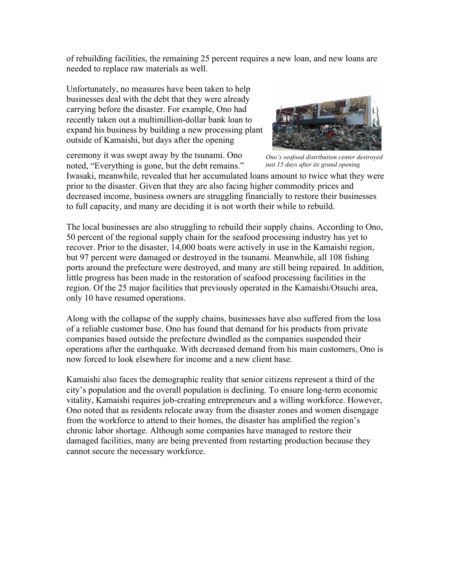of rebuilding facilities, the remaining 25 percent requires a new loan, and new loans are needed to replace raw materials as well.

Unfortunately, no measures have been taken to help businesses deal with the debt that they were already carrying before the disaster. For example, Ono had recently taken out a multimillion-dollar bank loan to expand his business by building a new processing plant outside of Kamaishi, but days after the opening

ceremony it was swept away by the tsunami. Ono noted, "Everything is gone, but the debt remains."



*Ono's seafood distribution center destroyed just 15 days after its grand opening*

Iwasaki, meanwhile, revealed that her accumulated loans amount to twice what they were prior to the disaster. Given that they are also facing higher commodity prices and decreased income, business owners are struggling financially to restore their businesses to full capacity, and many are deciding it is not worth their while to rebuild.

The local businesses are also struggling to rebuild their supply chains. According to Ono, 50 percent of the regional supply chain for the seafood processing industry has yet to recover. Prior to the disaster, 14,000 boats were actively in use in the Kamaishi region, but 97 percent were damaged or destroyed in the tsunami. Meanwhile, all 108 fishing ports around the prefecture were destroyed, and many are still being repaired. In addition, little progress has been made in the restoration of seafood processing facilities in the region. Of the 25 major facilities that previously operated in the Kamaishi/Otsuchi area, only 10 have resumed operations.

Along with the collapse of the supply chains, businesses have also suffered from the loss of a reliable customer base. Ono has found that demand for his products from private companies based outside the prefecture dwindled as the companies suspended their operations after the earthquake. With decreased demand from his main customers, Ono is now forced to look elsewhere for income and a new client base.

Kamaishi also faces the demographic reality that senior citizens represent a third of the city's population and the overall population is declining. To ensure long-term economic vitality, Kamaishi requires job-creating entrepreneurs and a willing workforce. However, Ono noted that as residents relocate away from the disaster zones and women disengage from the workforce to attend to their homes, the disaster has amplified the region's chronic labor shortage. Although some companies have managed to restore their damaged facilities, many are being prevented from restarting production because they cannot secure the necessary workforce.